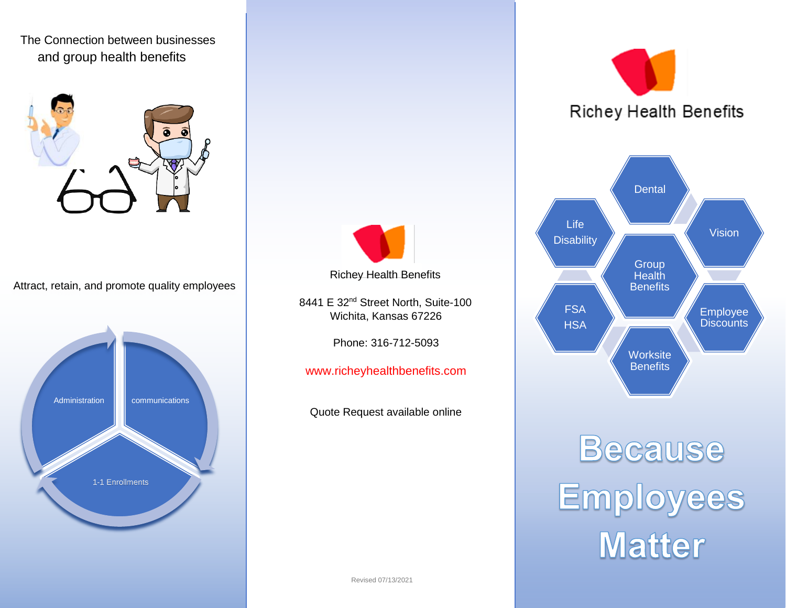

Attract, retain, and promote quality employees





8441 E 32<sup>nd</sup> Street North, Suite-100 Wichita, Kansas 67226

Phone: 316-712-5093

www.richeyhealthbenefits.com

Quote Request available online





Because<br>Employees<br>Matter